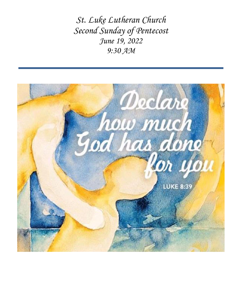*St. Luke Lutheran Church Second Sunday of Pentecost June 19, 2022 9:30 AM*

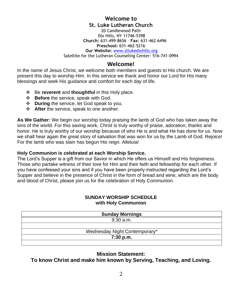### **Welcome to St. Luke Lutheran Church**

20 Candlewood Path Dix Hills, NY 11746-5398  **Church:** 631-499-8656 – **Fax:** 631-462-6496 **Preschool:** 631-462-5216

**Our Website:** [www.stlukedixhills.org](http://www.stlukedixhills.org/)

Satellite for the Lutheran Counseling Center: 516-741-0994

#### **Welcome!**

In the name of Jesus Christ, we welcome both members and guests to His church. We are present this day to worship Him. In this service we thank and honor our Lord for His many blessings and seek His guidance and comfort for each day of life.

- ❖ Be **reverent** and **thoughtful** in this Holy place.
- ❖ **Before** the service, speak with God.
- ❖ **During** the service, let God speak to you.
- ❖ **After** the service, speak to one another.

**As We Gather:** We begin our worship today praising the lamb of God who has taken away the sins of the world. For this saving work, Christ is truly worthy of praise, adoration, thanks and honor. He is truly worthy of our worship because of who He is and what He has done for us. Now we shall hear again the great story of salvation that was won for us by the Lamb of God. Rejoice! For the lamb who was slain has begun His reign. Alleluia!

#### **Holy Communion is celebrated at each Worship Service.**

The Lord's Supper is a gift from our Savior in which He offers us Himself and His forgiveness. Those who partake witness of their love for Him and their faith and fellowship for each other. If you have confessed your sins and if you have been properly instructed regarding the Lord's Supper and believe in the presence of Christ in the form of bread and wine, which are the body and blood of Christ, please join us for the celebration of Holy Communion.

#### **SUNDAY WORSHIP SCHEDULE with Holy Communion**

| <b>Sunday Mornings</b>        |  |
|-------------------------------|--|
| $9:30$ a.m.                   |  |
|                               |  |
| Wednesday Night Contemporary* |  |
| 7:30 p.m.                     |  |
|                               |  |

#### **Mission Statement:**

**To know Christ and make him known by Serving, Teaching, and Loving.**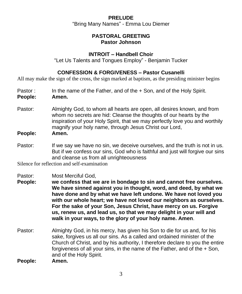# **PRELUDE**  "Bring Many Names" - Emma Lou Diemer

### **PASTORAL GREETING Pastor Johnson**

### **INTROIT – Handbell Choir**

"Let Us Talents and Tongues Employ" - Benjamin Tucker

### **CONFESSION & FORGIVENESS – Pastor Cusanelli**

All may make the sign of the cross, the sign marked at baptism, as the presiding minister begins

- Pastor : In the name of the Father, and of the + Son, and of the Holy Spirit.
- **People: Amen.**
- Pastor: Almighty God, to whom all hearts are open, all desires known, and from whom no secrets are hid: Cleanse the thoughts of our hearts by the inspiration of your Holy Spirit, that we may perfectly love you and worthily magnify your holy name, through Jesus Christ our Lord,

#### **People: Amen.**

Pastor: If we say we have no sin, we deceive ourselves, and the truth is not in us. But if we confess our sins, God who is faithful and just will forgive our sins and cleanse us from all unrighteousness

Silence for reflection and self-examination

- Pastor: Most Merciful God,
- **People: we confess that we are in bondage to sin and cannot free ourselves. We have sinned against you in thought, word, and deed, by what we have done and by what we have left undone. We have not loved you with our whole heart; we have not loved our neighbors as ourselves. For the sake of your Son, Jesus Christ, have mercy on us. Forgive us, renew us, and lead us, so that we may delight in your will and walk in your ways, to the glory of your holy name. Amen**.
- Pastor: Almighty God, in his mercy, has given his Son to die for us and, for his sake, forgives us all our sins. As a called and ordained minister of the Church of Christ, and by his authority, I therefore declare to you the entire forgiveness of all your sins, in the name of the Father, and of the + Son, and of the Holy Spirit.
- **People: Amen.**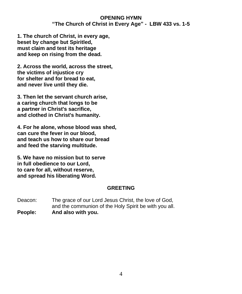### **OPENING HYMN "The Church of Christ in Every Age" - LBW 433 vs. 1-5**

**1. The church of Christ, in every age, beset by change but Spiritled, must claim and test its heritage and keep on rising from the dead.**

**2. Across the world, across the street, the victims of injustice cry for shelter and for bread to eat, and never live until they die.**

**3. Then let the servant church arise, a caring church that longs to be a partner in Christ's sacrifice, and clothed in Christ's humanity.**

**4. For he alone, whose blood was shed, can cure the fever in our blood, and teach us how to share our bread and feed the starving multitude.**

**5. We have no mission but to serve in full obedience to our Lord, to care for all, without reserve, and spread his liberating Word.**

### **GREETING**

Deacon: The grace of our Lord Jesus Christ, the love of God, and the communion of the Holy Spirit be with you all. **People: And also with you.**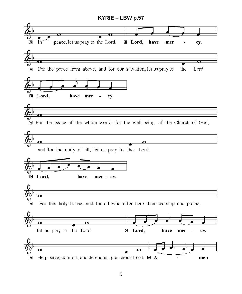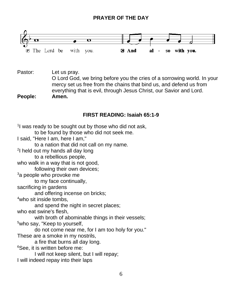# **PRAYER OF THE DAY**



Pastor: Let us pray.

O Lord God, we bring before you the cries of a sorrowing world. In your mercy set us free from the chains that bind us, and defend us from everything that is evil, through Jesus Christ, our Savior and Lord.

**People: Amen.**

## **FIRST READING: Isaiah 65:1-9**

<sup>1</sup>I was ready to be sought out by those who did not ask, to be found by those who did not seek me. I said, "Here I am, here I am," to a nation that did not call on my name. <sup>2</sup>I held out my hands all day long to a rebellious people, who walk in a way that is not good, following their own devices; <sup>3</sup>a people who provoke me to my face continually, sacrificing in gardens and offering incense on bricks; <sup>4</sup>who sit inside tombs. and spend the night in secret places; who eat swine's flesh, with broth of abominable things in their vessels; <sup>5</sup>who say, "Keep to yourself, do not come near me, for I am too holy for you." These are a smoke in my nostrils, a fire that burns all day long. <sup>6</sup>See, it is written before me: I will not keep silent, but I will repay; I will indeed repay into their laps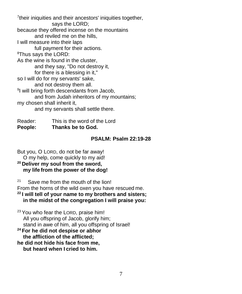<sup>7</sup>their iniquities and their ancestors' iniquities together, says the LORD; because they offered incense on the mountains and reviled me on the hills, I will measure into their laps full payment for their actions. <sup>8</sup>Thus says the LORD: As the wine is found in the cluster, and they say, "Do not destroy it, for there is a blessing in it," so I will do for my servants' sake, and not destroy them all. <sup>9</sup>I will bring forth descendants from Jacob, and from Judah inheritors of my mountains; my chosen shall inherit it, and my servants shall settle there.

Reader: This is the word of the Lord **People: Thanks be to God.**

### **PSALM: Psalm 22:19-28**

But you, O LORD, do not be far away!

O my help, come quickly to my aid!

**<sup>20</sup> Deliver my soul from the sword, my life from the power of the dog!**

21 Save me from the mouth of the lion! From the horns of the wild oxen you have rescued me.

**<sup>22</sup> I will tell of your name to my brothers and sisters; in the midst of the congregation I will praise you:**

<sup>23</sup> You who fear the LORD, praise him! All you offspring of Jacob, glorify him; stand in awe of him, all you offspring of Israel!

**<sup>24</sup> For he did not despise or abhor the affliction of the afflicted;**

**he did not hide his face from me, but heard when I cried to him.**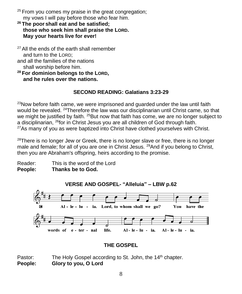- $25$  From you comes my praise in the great congregation; my vows I will pay before those who fear him.
- **<sup>26</sup> The poor shall eat and be satisfied; those who seek him shall praise the LORD. May your hearts live for ever!**

 $27$  All the ends of the earth shall remember and turn to the LORD; and all the families of the nations shall worship before him.

**<sup>28</sup> For dominion belongs to the LORD, and he rules over the nations.**

# **SECOND READING: Galatians 3:23-29**

 $^{23}$ Now before faith came, we were imprisoned and guarded under the law until faith would be revealed. <sup>24</sup>Therefore the law was our disciplinarian until Christ came, so that we might be justified by faith.  $25$ But now that faith has come, we are no longer subject to a disciplinarian, <sup>26</sup>for in Christ Jesus you are all children of God through faith.  $27$ As many of you as were baptized into Christ have clothed yourselves with Christ.

 $28$ There is no longer Jew or Greek, there is no longer slave or free, there is no longer male and female; for all of you are one in Christ Jesus. <sup>29</sup>And if you belong to Christ, then you are Abraham's offspring, heirs according to the promise.

Reader: This is the word of the Lord **People: Thanks be to God.**



# **THE GOSPEL**

Pastor: The Holy Gospel according to St. John, the 14<sup>th</sup> chapter. **People: Glory to you, O Lord**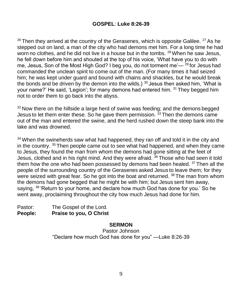$26$  Then they arrived at the country of the Gerasenes, which is opposite Galilee.  $27$  As he stepped out on land, a man of the city who had demons met him. For a long time he had worn no clothes, and he did not live in a house but in the tombs, <sup>28</sup> When he saw Jesus, he fell down before him and shouted at the top of his voice, 'What have you to do with me, Jesus, Son of the Most High God? I beg you, do not torment me'— $29$  for Jesus had commanded the unclean spirit to come out of the man. (For many times it had seized him; he was kept under guard and bound with chains and shackles, but he would break the bonds and be driven by the demon into the wilds.)  $30$  Jesus then asked him, 'What is your name?' He said, 'Legion'; for many demons had entered him. <sup>31</sup> They begged him not to order them to go back into the abyss.

 $32$  Now there on the hillside a large herd of swine was feeding; and the demons begged Jesus to let them enter these. So he gave them permission.  $33$  Then the demons came out of the man and entered the swine, and the herd rushed down the steep bank into the lake and was drowned.

 $34$  When the swineherds saw what had happened, they ran off and told it in the city and in the country. <sup>35</sup> Then people came out to see what had happened, and when they came to Jesus, they found the man from whom the demons had gone sitting at the feet of Jesus, clothed and in his right mind. And they were afraid. <sup>36</sup> Those who had seen it told them how the one who had been possessed by demons had been healed. <sup>37</sup> Then all the people of the surrounding country of the Gerasenes asked Jesus to leave them; for they were seized with great fear. So he got into the boat and returned. <sup>38</sup> The man from whom the demons had gone begged that he might be with him; but Jesus sent him away, saying, <sup>39</sup> 'Return to your home, and declare how much God has done for you.' So he went away, proclaiming throughout the city how much Jesus had done for him.

Pastor: The Gospel of the Lord. **People: Praise to you, O Christ**

### **SERMON**

Pastor Johnson "Declare how much God has done for you" —Luke 8:26-39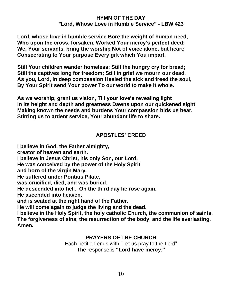#### **HYMN OF THE DAY** *"***Lord, Whose Love in Humble Service" - LBW 423**

**Lord, whose love in humble service Bore the weight of human need, Who upon the cross, forsaken, Worked Your mercy's perfect deed: We, Your servants, bring the worship Not of voice alone, but heart; Consecrating to Your purpose Every gift which You impart.**

**Still Your children wander homeless; Still the hungry cry for bread; Still the captives long for freedom; Still in grief we mourn our dead. As you, Lord, in deep compassion Healed the sick and freed the soul, By Your Spirit send Your power To our world to make it whole.**

**As we worship, grant us vision, Till your love's revealing light In its height and depth and greatness Dawns upon our quickened sight, Making known the needs and burdens Your compassion bids us bear, Stirring us to ardent service, Your abundant life to share.**

## **APOSTLES' CREED**

**I believe in God, the Father almighty, creator of heaven and earth. I believe in Jesus Christ, his only Son, our Lord. He was conceived by the power of the Holy Spirit and born of the virgin Mary. He suffered under Pontius Pilate, was crucified, died, and was buried. He descended into hell. On the third day he rose again. He ascended into heaven, and is seated at the right hand of the Father. He will come again to judge the living and the dead. I believe in the Holy Spirit, the holy catholic Church, the communion of saints, The forgiveness of sins, the resurrection of the body, and the life everlasting. Amen.**

#### **PRAYERS OF THE CHURCH**

Each petition ends with "Let us pray to the Lord" The response is **"Lord have mercy."**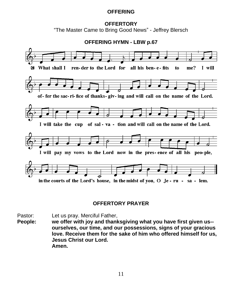### **OFFERING**

#### **OFFERTORY** "The Master Came to Bring Good News" - Jeffrey Blersch



# **OFFERTORY PRAYER**

Pastor: Let us pray. Merciful Father,

**People: we offer with joy and thanksgiving what you have first given us- ourselves, our time, and our possessions, signs of your gracious love. Receive them for the sake of him who offered himself for us, Jesus Christ our Lord. Amen.**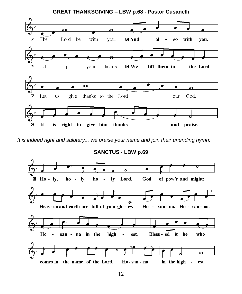

*It is indeed right and salutary... we praise your name and join their unending hymn:*

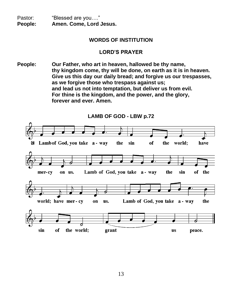Pastor: "Blessed are you...." **People: Amen. Come, Lord Jesus.**

#### **WORDS OF INSTITUTION**

#### **LORD'S PRAYER**

**People: Our Father, who art in heaven, hallowed be thy name, thy kingdom come, thy will be done, on earth as it is in heaven. Give us this day our daily bread; and forgive us our trespasses, as we forgive those who trespass against us; and lead us not into temptation, but deliver us from evil. For thine is the kingdom, and the power, and the glory, forever and ever. Amen.**

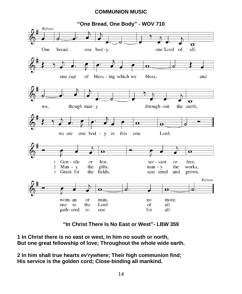### **COMMUNION MUSIC**



**"In Christ There Is No East or West"- LBW 359**

**1 In Christ there is no east or west, In him no south or north, But one great fellowship of love; Throughout the whole wide earth.**

**2 In him shall true hearts ev'rywhere; Their high communion find; His service is the golden cord; Close-binding all mankind.**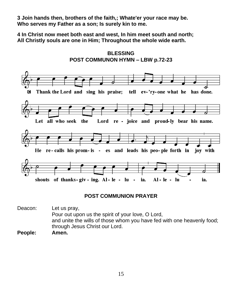**3 Join hands then, brothers of the faith,; Whate'er your race may be. Who serves my Father as a son; Is surely kin to me.**

**4 In Christ now meet both east and west, In him meet south and north; All Christly souls are one in Him; Throughout the whole wide earth.**



#### **BLESSING POST COMMUNON HYMN – LBW p.72-23**

### **POST COMMUNION PRAYER**

Deacon: Let us pray, Pour out upon us the spirit of your love, O Lord, and unite the wills of those whom you have fed with one heavenly food; through Jesus Christ our Lord.

**People: Amen.**